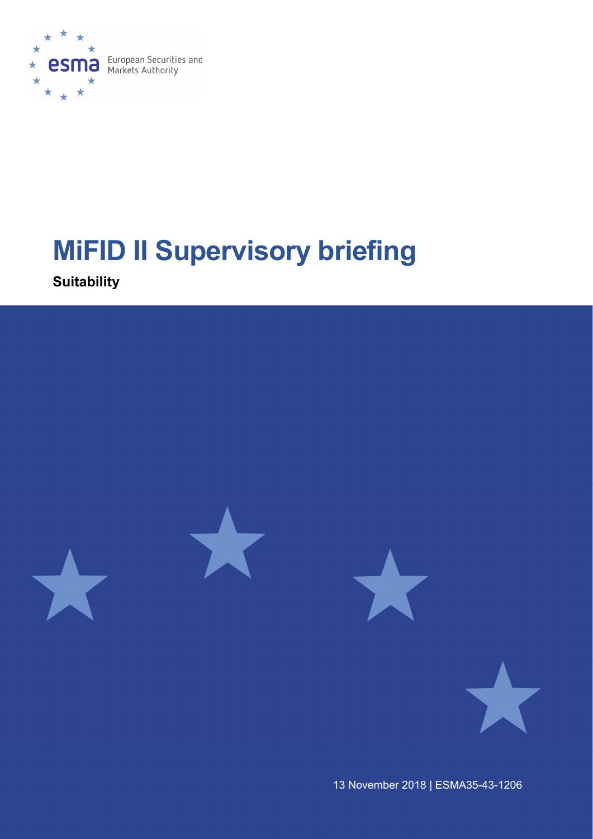

# MiFID II Supervisory briefing

**Suitability** 



13 November 2018 | ESMA35-43-1206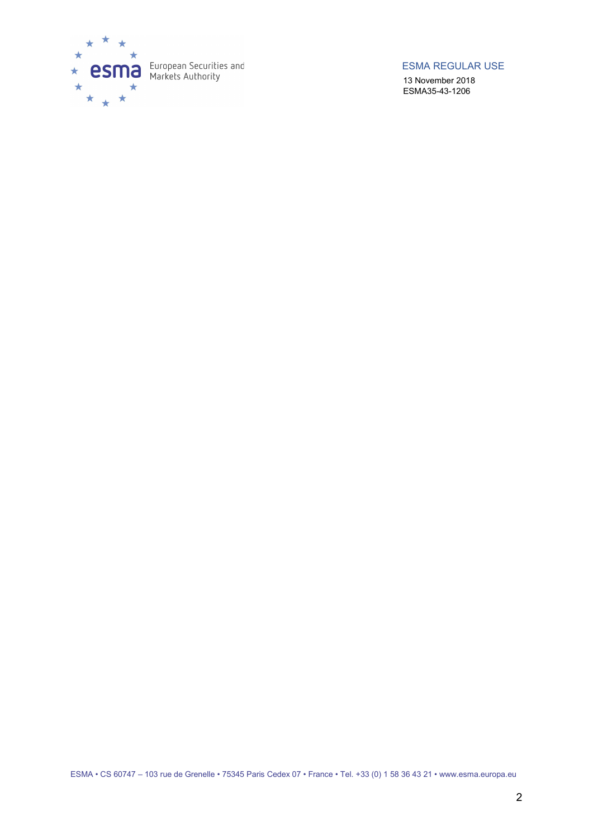

ESMA REGULAR USE

13 November 2018 ESMA35-43-1206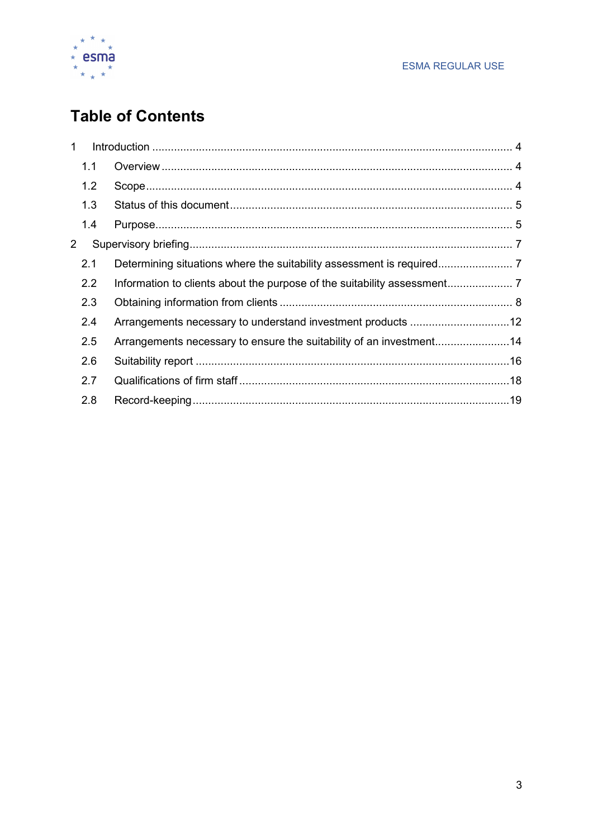

# **Table of Contents**

| 1              |     |                                                                     |  |
|----------------|-----|---------------------------------------------------------------------|--|
|                | 1.1 |                                                                     |  |
|                | 1.2 |                                                                     |  |
|                | 1.3 |                                                                     |  |
|                | 1.4 |                                                                     |  |
| $\overline{2}$ |     |                                                                     |  |
|                | 2.1 |                                                                     |  |
|                | 2.2 |                                                                     |  |
|                | 2.3 |                                                                     |  |
|                | 2.4 |                                                                     |  |
|                | 2.5 | Arrangements necessary to ensure the suitability of an investment14 |  |
|                | 2.6 |                                                                     |  |
|                | 2.7 |                                                                     |  |
|                | 2.8 |                                                                     |  |
|                |     |                                                                     |  |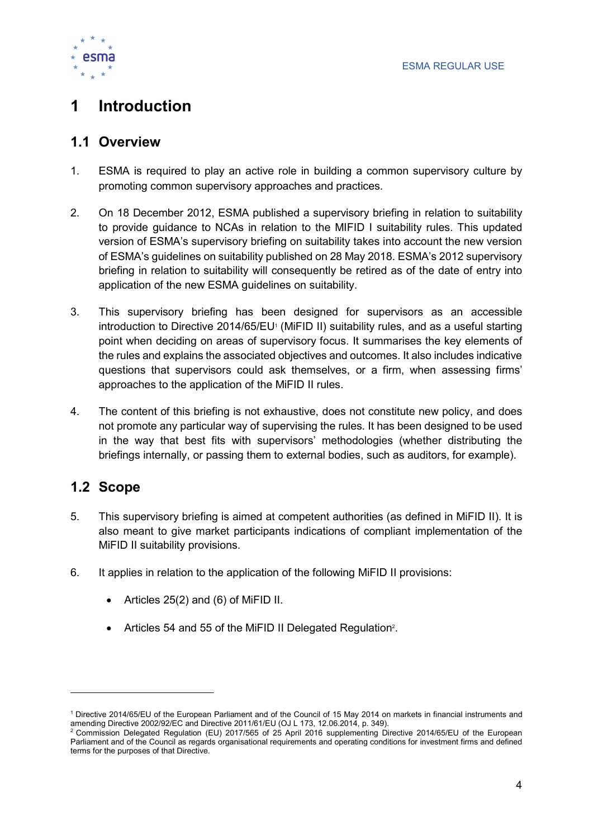

# 1 Introduction

## 1.1 Overview

- 1. ESMA is required to play an active role in building a common supervisory culture by promoting common supervisory approaches and practices.
- 2. On 18 December 2012, ESMA published a supervisory briefing in relation to suitability to provide guidance to NCAs in relation to the MIFID I suitability rules. This updated version of ESMA's supervisory briefing on suitability takes into account the new version of ESMA's guidelines on suitability published on 28 May 2018. ESMA's 2012 supervisory briefing in relation to suitability will consequently be retired as of the date of entry into application of the new ESMA guidelines on suitability.
- 3. This supervisory briefing has been designed for supervisors as an accessible introduction to Directive 2014/65/EU<sup>1</sup> (MiFID II) suitability rules, and as a useful starting point when deciding on areas of supervisory focus. It summarises the key elements of the rules and explains the associated objectives and outcomes. It also includes indicative questions that supervisors could ask themselves, or a firm, when assessing firms' approaches to the application of the MiFID II rules.
- 4. The content of this briefing is not exhaustive, does not constitute new policy, and does not promote any particular way of supervising the rules. It has been designed to be used in the way that best fits with supervisors' methodologies (whether distributing the briefings internally, or passing them to external bodies, such as auditors, for example).

## 1.2 Scope

 $\overline{a}$ 

- 5. This supervisory briefing is aimed at competent authorities (as defined in MiFID II). It is also meant to give market participants indications of compliant implementation of the MiFID II suitability provisions.
- 6. It applies in relation to the application of the following MiFID II provisions:
	- $\bullet$  Articles 25(2) and (6) of MiFID II.
	- Articles 54 and 55 of the MiFID II Delegated Regulation<sup>2</sup>.

<sup>1</sup> Directive 2014/65/EU of the European Parliament and of the Council of 15 May 2014 on markets in financial instruments and amending Directive 2002/92/EC and Directive 2011/61/EU (OJ L 173, 12.06.2014, p. 349).

<sup>2</sup> Commission Delegated Regulation (EU) 2017/565 of 25 April 2016 supplementing Directive 2014/65/EU of the European Parliament and of the Council as regards organisational requirements and operating conditions for investment firms and defined terms for the purposes of that Directive.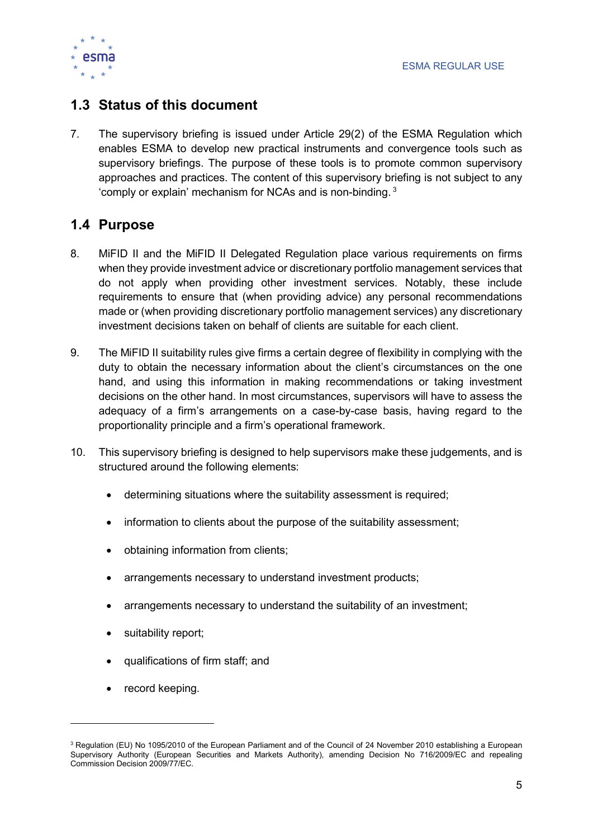

## 1.3 Status of this document

7. The supervisory briefing is issued under Article 29(2) of the ESMA Regulation which enables ESMA to develop new practical instruments and convergence tools such as supervisory briefings. The purpose of these tools is to promote common supervisory approaches and practices. The content of this supervisory briefing is not subject to any 'comply or explain' mechanism for NCAs and is non-binding. $3$ 

## 1.4 Purpose

- 8. MiFID II and the MiFID II Delegated Regulation place various requirements on firms when they provide investment advice or discretionary portfolio management services that do not apply when providing other investment services. Notably, these include requirements to ensure that (when providing advice) any personal recommendations made or (when providing discretionary portfolio management services) any discretionary investment decisions taken on behalf of clients are suitable for each client.
- 9. The MiFID II suitability rules give firms a certain degree of flexibility in complying with the duty to obtain the necessary information about the client's circumstances on the one hand, and using this information in making recommendations or taking investment decisions on the other hand. In most circumstances, supervisors will have to assess the adequacy of a firm's arrangements on a case-by-case basis, having regard to the proportionality principle and a firm's operational framework.
- 10. This supervisory briefing is designed to help supervisors make these judgements, and is structured around the following elements:
	- determining situations where the suitability assessment is required;
	- information to clients about the purpose of the suitability assessment;
	- obtaining information from clients;
	- arrangements necessary to understand investment products;
	- arrangements necessary to understand the suitability of an investment;
	- suitability report;
	- qualifications of firm staff; and
	- record keeping.

 $\overline{a}$ 

 $3$  Regulation (EU) No 1095/2010 of the European Parliament and of the Council of 24 November 2010 establishing a European Supervisory Authority (European Securities and Markets Authority), amending Decision No 716/2009/EC and repealing Commission Decision 2009/77/EC.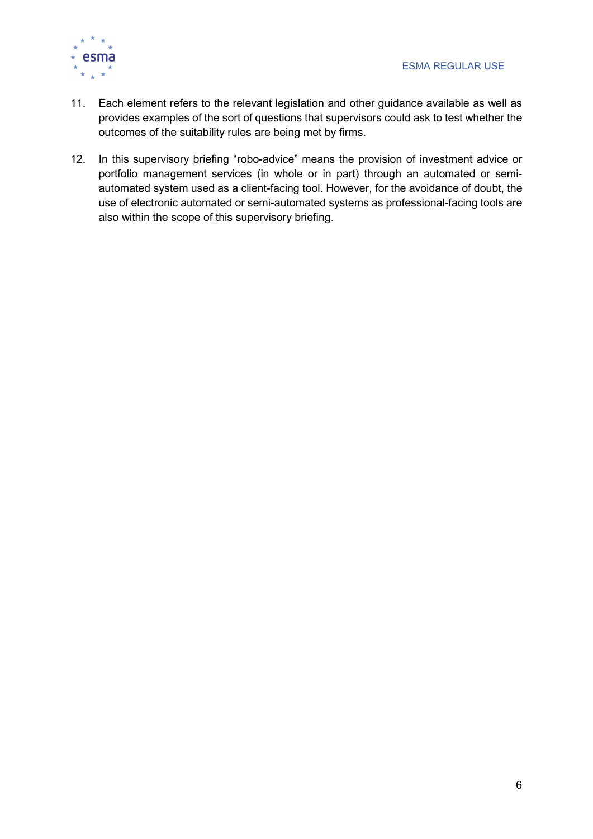

- 11. Each element refers to the relevant legislation and other guidance available as well as provides examples of the sort of questions that supervisors could ask to test whether the outcomes of the suitability rules are being met by firms.
- 12. In this supervisory briefing "robo-advice" means the provision of investment advice or portfolio management services (in whole or in part) through an automated or semiautomated system used as a client-facing tool. However, for the avoidance of doubt, the use of electronic automated or semi-automated systems as professional-facing tools are also within the scope of this supervisory briefing.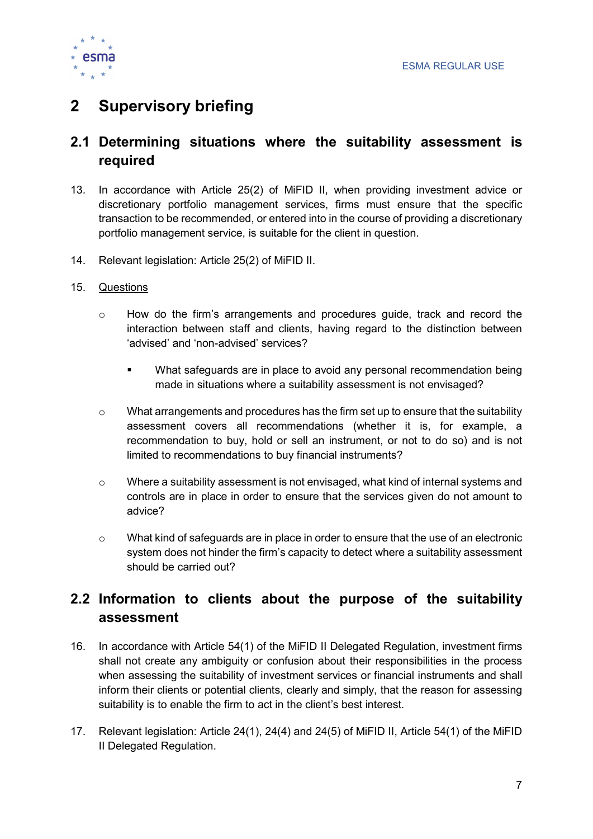

# 2 Supervisory briefing

## 2.1 Determining situations where the suitability assessment is required

- 13. In accordance with Article 25(2) of MiFID II, when providing investment advice or discretionary portfolio management services, firms must ensure that the specific transaction to be recommended, or entered into in the course of providing a discretionary portfolio management service, is suitable for the client in question.
- 14. Relevant legislation: Article 25(2) of MiFID II.
- 15. Questions
	- o How do the firm's arrangements and procedures guide, track and record the interaction between staff and clients, having regard to the distinction between 'advised' and 'non-advised' services?
		- What safeguards are in place to avoid any personal recommendation being made in situations where a suitability assessment is not envisaged?
	- $\circ$  What arrangements and procedures has the firm set up to ensure that the suitability assessment covers all recommendations (whether it is, for example, a recommendation to buy, hold or sell an instrument, or not to do so) and is not limited to recommendations to buy financial instruments?
	- o Where a suitability assessment is not envisaged, what kind of internal systems and controls are in place in order to ensure that the services given do not amount to advice?
	- o What kind of safeguards are in place in order to ensure that the use of an electronic system does not hinder the firm's capacity to detect where a suitability assessment should be carried out?

## 2.2 Information to clients about the purpose of the suitability assessment

- 16. In accordance with Article 54(1) of the MiFID II Delegated Regulation, investment firms shall not create any ambiguity or confusion about their responsibilities in the process when assessing the suitability of investment services or financial instruments and shall inform their clients or potential clients, clearly and simply, that the reason for assessing suitability is to enable the firm to act in the client's best interest.
- 17. Relevant legislation: Article 24(1), 24(4) and 24(5) of MiFID II, Article 54(1) of the MiFID II Delegated Regulation.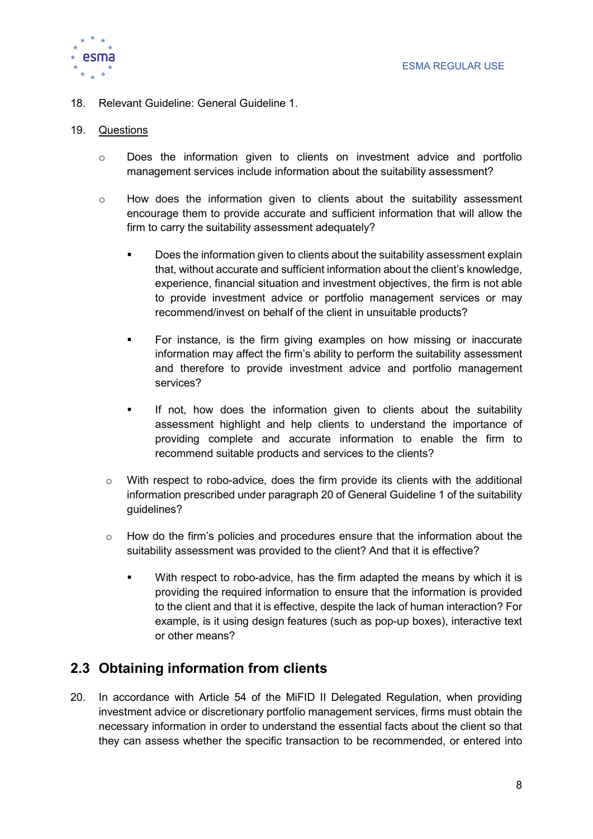

18. Relevant Guideline: General Guideline 1.

#### 19. Questions

- o Does the information given to clients on investment advice and portfolio management services include information about the suitability assessment?
- $\circ$  How does the information given to clients about the suitability assessment encourage them to provide accurate and sufficient information that will allow the firm to carry the suitability assessment adequately?
	- **Does the information given to clients about the suitability assessment explain** that, without accurate and sufficient information about the client's knowledge, experience, financial situation and investment objectives, the firm is not able to provide investment advice or portfolio management services or may recommend/invest on behalf of the client in unsuitable products?
	- For instance, is the firm giving examples on how missing or inaccurate information may affect the firm's ability to perform the suitability assessment and therefore to provide investment advice and portfolio management services?
	- **If not, how does the information given to clients about the suitability** assessment highlight and help clients to understand the importance of providing complete and accurate information to enable the firm to recommend suitable products and services to the clients?
	- o With respect to robo-advice, does the firm provide its clients with the additional information prescribed under paragraph 20 of General Guideline 1 of the suitability guidelines?
	- $\circ$  How do the firm's policies and procedures ensure that the information about the suitability assessment was provided to the client? And that it is effective?
		- **With respect to robo-advice, has the firm adapted the means by which it is** providing the required information to ensure that the information is provided to the client and that it is effective, despite the lack of human interaction? For example, is it using design features (such as pop-up boxes), interactive text or other means?

## 2.3 Obtaining information from clients

20. In accordance with Article 54 of the MiFID II Delegated Regulation, when providing investment advice or discretionary portfolio management services, firms must obtain the necessary information in order to understand the essential facts about the client so that they can assess whether the specific transaction to be recommended, or entered into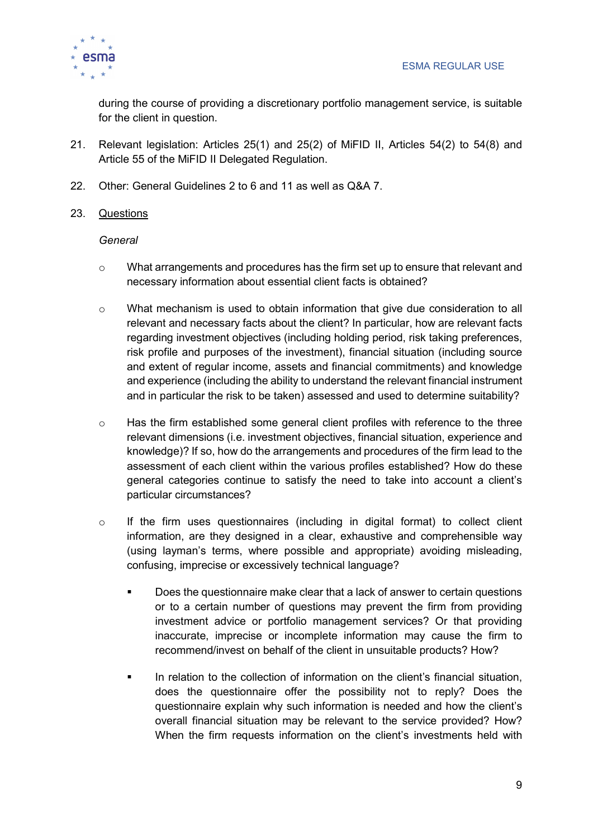

during the course of providing a discretionary portfolio management service, is suitable for the client in question.

- 21. Relevant legislation: Articles 25(1) and 25(2) of MiFID II, Articles 54(2) to 54(8) and Article 55 of the MiFID II Delegated Regulation.
- 22. Other: General Guidelines 2 to 6 and 11 as well as Q&A 7.
- 23. Questions

#### **General**

- $\circ$  What arrangements and procedures has the firm set up to ensure that relevant and necessary information about essential client facts is obtained?
- o What mechanism is used to obtain information that give due consideration to all relevant and necessary facts about the client? In particular, how are relevant facts regarding investment objectives (including holding period, risk taking preferences, risk profile and purposes of the investment), financial situation (including source and extent of regular income, assets and financial commitments) and knowledge and experience (including the ability to understand the relevant financial instrument and in particular the risk to be taken) assessed and used to determine suitability?
- o Has the firm established some general client profiles with reference to the three relevant dimensions (i.e. investment objectives, financial situation, experience and knowledge)? If so, how do the arrangements and procedures of the firm lead to the assessment of each client within the various profiles established? How do these general categories continue to satisfy the need to take into account a client's particular circumstances?
- o If the firm uses questionnaires (including in digital format) to collect client information, are they designed in a clear, exhaustive and comprehensible way (using layman's terms, where possible and appropriate) avoiding misleading, confusing, imprecise or excessively technical language?
	- Does the questionnaire make clear that a lack of answer to certain questions or to a certain number of questions may prevent the firm from providing investment advice or portfolio management services? Or that providing inaccurate, imprecise or incomplete information may cause the firm to recommend/invest on behalf of the client in unsuitable products? How?
	- **In relation to the collection of information on the client's financial situation,** does the questionnaire offer the possibility not to reply? Does the questionnaire explain why such information is needed and how the client's overall financial situation may be relevant to the service provided? How? When the firm requests information on the client's investments held with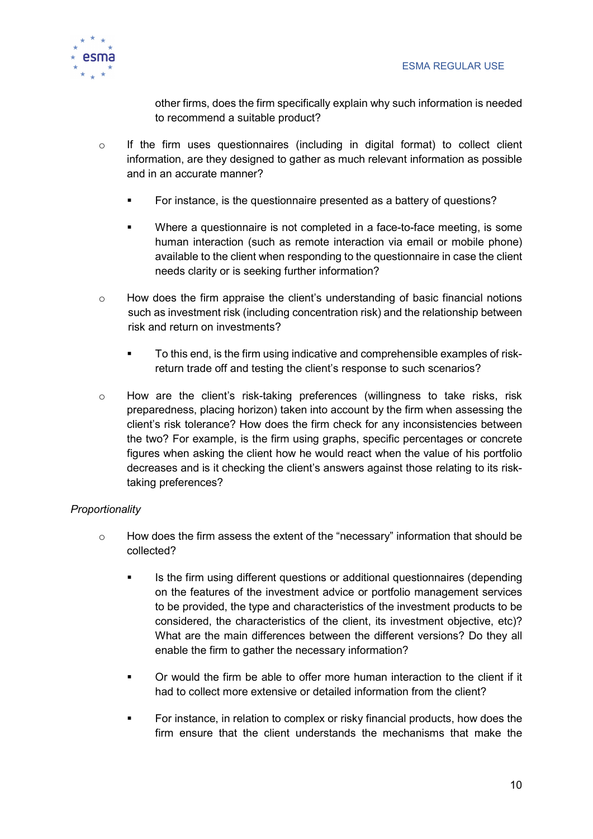

other firms, does the firm specifically explain why such information is needed to recommend a suitable product?

- $\circ$  If the firm uses questionnaires (including in digital format) to collect client information, are they designed to gather as much relevant information as possible and in an accurate manner?
	- For instance, is the questionnaire presented as a battery of questions?
	- Where a questionnaire is not completed in a face-to-face meeting, is some human interaction (such as remote interaction via email or mobile phone) available to the client when responding to the questionnaire in case the client needs clarity or is seeking further information?
- $\circ$  How does the firm appraise the client's understanding of basic financial notions such as investment risk (including concentration risk) and the relationship between risk and return on investments?
	- To this end, is the firm using indicative and comprehensible examples of riskreturn trade off and testing the client's response to such scenarios?
- o How are the client's risk-taking preferences (willingness to take risks, risk preparedness, placing horizon) taken into account by the firm when assessing the client's risk tolerance? How does the firm check for any inconsistencies between the two? For example, is the firm using graphs, specific percentages or concrete figures when asking the client how he would react when the value of his portfolio decreases and is it checking the client's answers against those relating to its risktaking preferences?

#### **Proportionality**

- o How does the firm assess the extent of the "necessary" information that should be collected?
	- Is the firm using different questions or additional questionnaires (depending on the features of the investment advice or portfolio management services to be provided, the type and characteristics of the investment products to be considered, the characteristics of the client, its investment objective, etc)? What are the main differences between the different versions? Do they all enable the firm to gather the necessary information?
	- Or would the firm be able to offer more human interaction to the client if it had to collect more extensive or detailed information from the client?
	- For instance, in relation to complex or risky financial products, how does the firm ensure that the client understands the mechanisms that make the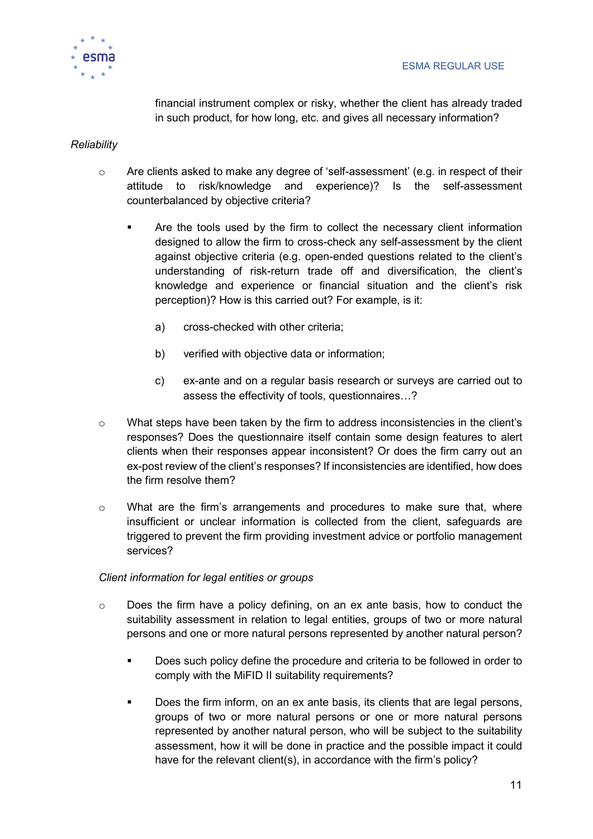

financial instrument complex or risky, whether the client has already traded in such product, for how long, etc. and gives all necessary information?

#### **Reliability**

- $\circ$  Are clients asked to make any degree of 'self-assessment' (e.g. in respect of their attitude to risk/knowledge and experience)? Is the self-assessment counterbalanced by objective criteria?
	- **EXECT** Are the tools used by the firm to collect the necessary client information designed to allow the firm to cross-check any self-assessment by the client against objective criteria (e.g. open-ended questions related to the client's understanding of risk-return trade off and diversification, the client's knowledge and experience or financial situation and the client's risk perception)? How is this carried out? For example, is it:
		- a) cross-checked with other criteria;
		- b) verified with objective data or information;
		- c) ex-ante and on a regular basis research or surveys are carried out to assess the effectivity of tools, questionnaires…?
- o What steps have been taken by the firm to address inconsistencies in the client's responses? Does the questionnaire itself contain some design features to alert clients when their responses appear inconsistent? Or does the firm carry out an ex-post review of the client's responses? If inconsistencies are identified, how does the firm resolve them?
- $\circ$  What are the firm's arrangements and procedures to make sure that, where insufficient or unclear information is collected from the client, safeguards are triggered to prevent the firm providing investment advice or portfolio management services?

#### Client information for legal entities or groups

- o Does the firm have a policy defining, on an ex ante basis, how to conduct the suitability assessment in relation to legal entities, groups of two or more natural persons and one or more natural persons represented by another natural person?
	- Does such policy define the procedure and criteria to be followed in order to comply with the MiFID II suitability requirements?
	- Does the firm inform, on an ex ante basis, its clients that are legal persons, groups of two or more natural persons or one or more natural persons represented by another natural person, who will be subject to the suitability assessment, how it will be done in practice and the possible impact it could have for the relevant client(s), in accordance with the firm's policy?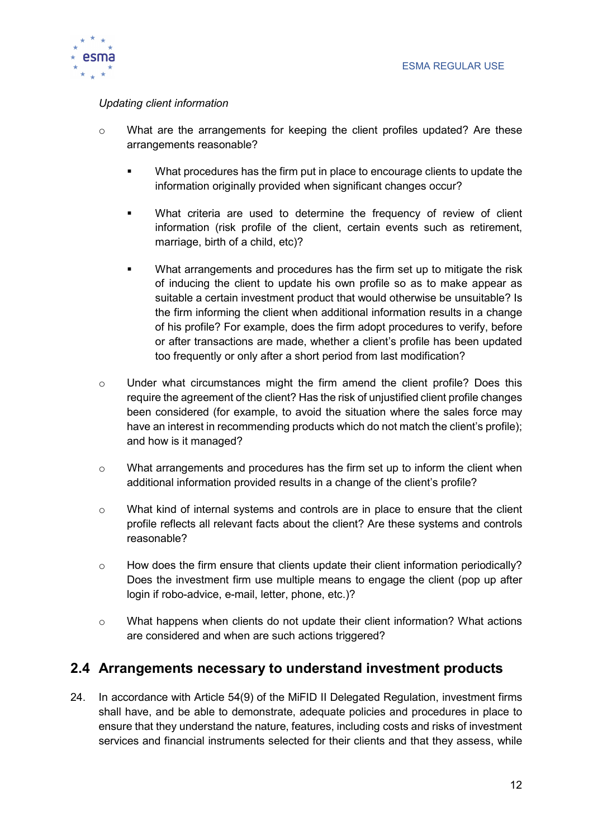

#### Updating client information

- $\circ$  What are the arrangements for keeping the client profiles updated? Are these arrangements reasonable?
	- What procedures has the firm put in place to encourage clients to update the information originally provided when significant changes occur?
	- What criteria are used to determine the frequency of review of client information (risk profile of the client, certain events such as retirement, marriage, birth of a child, etc)?
	- What arrangements and procedures has the firm set up to mitigate the risk of inducing the client to update his own profile so as to make appear as suitable a certain investment product that would otherwise be unsuitable? Is the firm informing the client when additional information results in a change of his profile? For example, does the firm adopt procedures to verify, before or after transactions are made, whether a client's profile has been updated too frequently or only after a short period from last modification?
- $\circ$  Under what circumstances might the firm amend the client profile? Does this require the agreement of the client? Has the risk of unjustified client profile changes been considered (for example, to avoid the situation where the sales force may have an interest in recommending products which do not match the client's profile); and how is it managed?
- $\circ$  What arrangements and procedures has the firm set up to inform the client when additional information provided results in a change of the client's profile?
- $\circ$  What kind of internal systems and controls are in place to ensure that the client profile reflects all relevant facts about the client? Are these systems and controls reasonable?
- o How does the firm ensure that clients update their client information periodically? Does the investment firm use multiple means to engage the client (pop up after login if robo-advice, e-mail, letter, phone, etc.)?
- $\circ$  What happens when clients do not update their client information? What actions are considered and when are such actions triggered?

## 2.4 Arrangements necessary to understand investment products

24. In accordance with Article 54(9) of the MiFID II Delegated Regulation, investment firms shall have, and be able to demonstrate, adequate policies and procedures in place to ensure that they understand the nature, features, including costs and risks of investment services and financial instruments selected for their clients and that they assess, while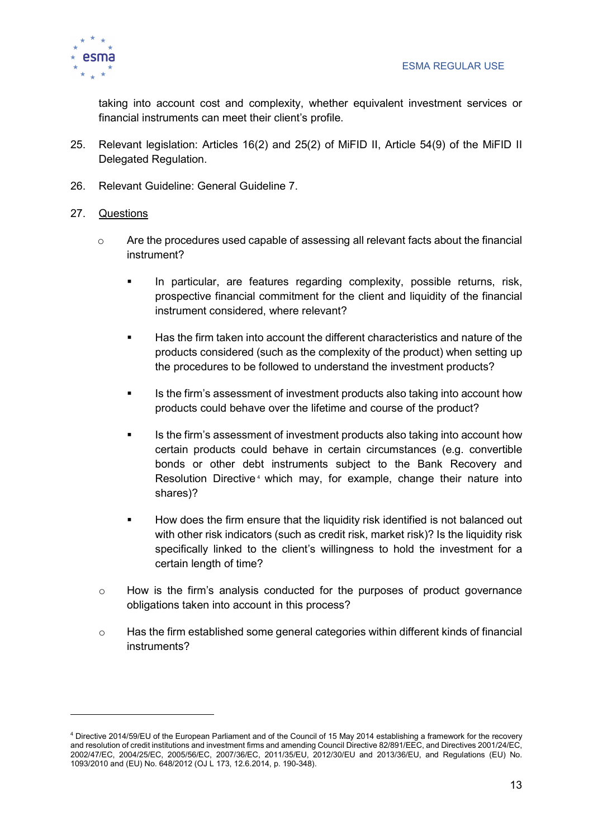

taking into account cost and complexity, whether equivalent investment services or financial instruments can meet their client's profile.

- 25. Relevant legislation: Articles 16(2) and 25(2) of MiFID II, Article 54(9) of the MiFID II Delegated Regulation.
- 26. Relevant Guideline: General Guideline 7.

#### 27. Questions

 $\overline{a}$ 

- $\circ$  Are the procedures used capable of assessing all relevant facts about the financial instrument?
	- **In particular, are features regarding complexity, possible returns, risk,** prospective financial commitment for the client and liquidity of the financial instrument considered, where relevant?
	- Has the firm taken into account the different characteristics and nature of the products considered (such as the complexity of the product) when setting up the procedures to be followed to understand the investment products?
	- Is the firm's assessment of investment products also taking into account how products could behave over the lifetime and course of the product?
	- Is the firm's assessment of investment products also taking into account how certain products could behave in certain circumstances (e.g. convertible bonds or other debt instruments subject to the Bank Recovery and Resolution Directive<sup>4</sup> which may, for example, change their nature into shares)?
	- How does the firm ensure that the liquidity risk identified is not balanced out with other risk indicators (such as credit risk, market risk)? Is the liquidity risk specifically linked to the client's willingness to hold the investment for a certain length of time?
- $\circ$  How is the firm's analysis conducted for the purposes of product governance obligations taken into account in this process?
- $\circ$  Has the firm established some general categories within different kinds of financial instruments?

<sup>4</sup> Directive 2014/59/EU of the European Parliament and of the Council of 15 May 2014 establishing a framework for the recovery and resolution of credit institutions and investment firms and amending Council Directive 82/891/EEC, and Directives 2001/24/EC, 2002/47/EC, 2004/25/EC, 2005/56/EC, 2007/36/EC, 2011/35/EU, 2012/30/EU and 2013/36/EU, and Regulations (EU) No. 1093/2010 and (EU) No. 648/2012 (OJ L 173, 12.6.2014, p. 190-348).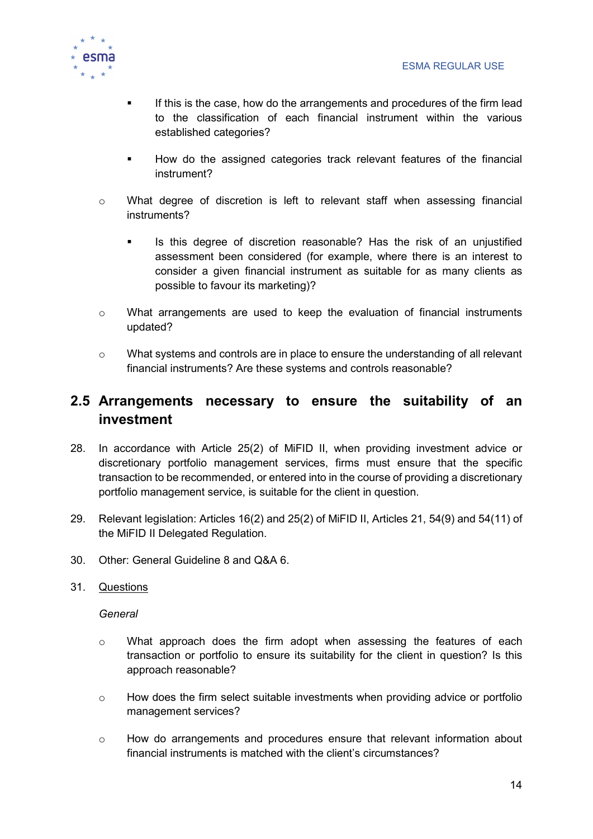

- If this is the case, how do the arrangements and procedures of the firm lead to the classification of each financial instrument within the various established categories?
- **How do the assigned categories track relevant features of the financial** instrument?
- o What degree of discretion is left to relevant staff when assessing financial instruments?
	- Is this degree of discretion reasonable? Has the risk of an unjustified assessment been considered (for example, where there is an interest to consider a given financial instrument as suitable for as many clients as possible to favour its marketing)?
- o What arrangements are used to keep the evaluation of financial instruments updated?
- o What systems and controls are in place to ensure the understanding of all relevant financial instruments? Are these systems and controls reasonable?

## 2.5 Arrangements necessary to ensure the suitability of an investment

- 28. In accordance with Article 25(2) of MiFID II, when providing investment advice or discretionary portfolio management services, firms must ensure that the specific transaction to be recommended, or entered into in the course of providing a discretionary portfolio management service, is suitable for the client in question.
- 29. Relevant legislation: Articles 16(2) and 25(2) of MiFID II, Articles 21, 54(9) and 54(11) of the MiFID II Delegated Regulation.
- 30. Other: General Guideline 8 and Q&A 6.
- 31. Questions

#### **General**

- $\circ$  What approach does the firm adopt when assessing the features of each transaction or portfolio to ensure its suitability for the client in question? Is this approach reasonable?
- $\circ$  How does the firm select suitable investments when providing advice or portfolio management services?
- $\circ$  How do arrangements and procedures ensure that relevant information about financial instruments is matched with the client's circumstances?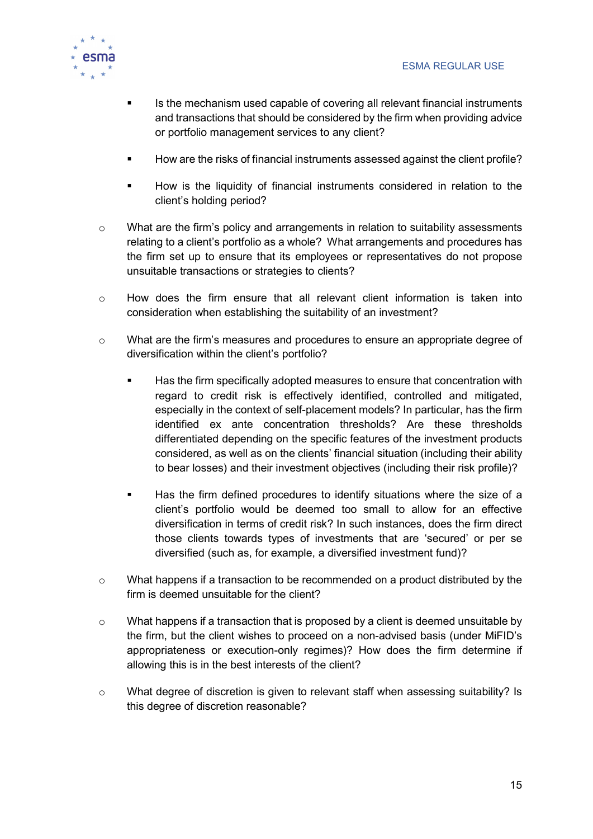

- Is the mechanism used capable of covering all relevant financial instruments and transactions that should be considered by the firm when providing advice or portfolio management services to any client?
- How are the risks of financial instruments assessed against the client profile?
- **How is the liquidity of financial instruments considered in relation to the** client's holding period?
- o What are the firm's policy and arrangements in relation to suitability assessments relating to a client's portfolio as a whole? What arrangements and procedures has the firm set up to ensure that its employees or representatives do not propose unsuitable transactions or strategies to clients?
- $\circ$  How does the firm ensure that all relevant client information is taken into consideration when establishing the suitability of an investment?
- o What are the firm's measures and procedures to ensure an appropriate degree of diversification within the client's portfolio?
	- Has the firm specifically adopted measures to ensure that concentration with regard to credit risk is effectively identified, controlled and mitigated, especially in the context of self-placement models? In particular, has the firm identified ex ante concentration thresholds? Are these thresholds differentiated depending on the specific features of the investment products considered, as well as on the clients' financial situation (including their ability to bear losses) and their investment objectives (including their risk profile)?
	- Has the firm defined procedures to identify situations where the size of a client's portfolio would be deemed too small to allow for an effective diversification in terms of credit risk? In such instances, does the firm direct those clients towards types of investments that are 'secured' or per se diversified (such as, for example, a diversified investment fund)?
- o What happens if a transaction to be recommended on a product distributed by the firm is deemed unsuitable for the client?
- $\circ$  What happens if a transaction that is proposed by a client is deemed unsuitable by the firm, but the client wishes to proceed on a non-advised basis (under MiFID's appropriateness or execution-only regimes)? How does the firm determine if allowing this is in the best interests of the client?
- o What degree of discretion is given to relevant staff when assessing suitability? Is this degree of discretion reasonable?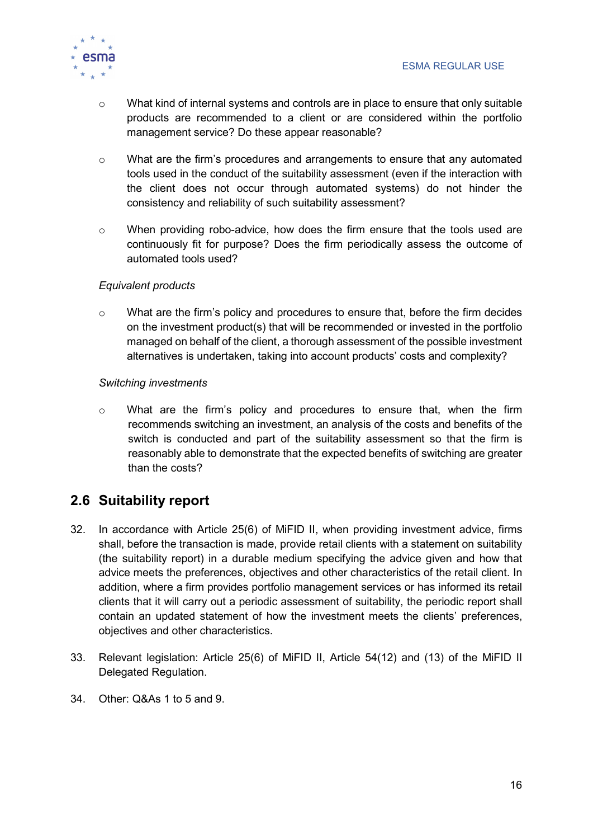

- o What kind of internal systems and controls are in place to ensure that only suitable products are recommended to a client or are considered within the portfolio management service? Do these appear reasonable?
- o What are the firm's procedures and arrangements to ensure that any automated tools used in the conduct of the suitability assessment (even if the interaction with the client does not occur through automated systems) do not hinder the consistency and reliability of such suitability assessment?
- o When providing robo-advice, how does the firm ensure that the tools used are continuously fit for purpose? Does the firm periodically assess the outcome of automated tools used?

#### Equivalent products

 $\circ$  What are the firm's policy and procedures to ensure that, before the firm decides on the investment product(s) that will be recommended or invested in the portfolio managed on behalf of the client, a thorough assessment of the possible investment alternatives is undertaken, taking into account products' costs and complexity?

#### Switching investments

o What are the firm's policy and procedures to ensure that, when the firm recommends switching an investment, an analysis of the costs and benefits of the switch is conducted and part of the suitability assessment so that the firm is reasonably able to demonstrate that the expected benefits of switching are greater than the costs?

## 2.6 Suitability report

- 32. In accordance with Article 25(6) of MiFID II, when providing investment advice, firms shall, before the transaction is made, provide retail clients with a statement on suitability (the suitability report) in a durable medium specifying the advice given and how that advice meets the preferences, objectives and other characteristics of the retail client. In addition, where a firm provides portfolio management services or has informed its retail clients that it will carry out a periodic assessment of suitability, the periodic report shall contain an updated statement of how the investment meets the clients' preferences, objectives and other characteristics.
- 33. Relevant legislation: Article 25(6) of MiFID II, Article 54(12) and (13) of the MiFID II Delegated Regulation.
- 34. Other: Q&As 1 to 5 and 9.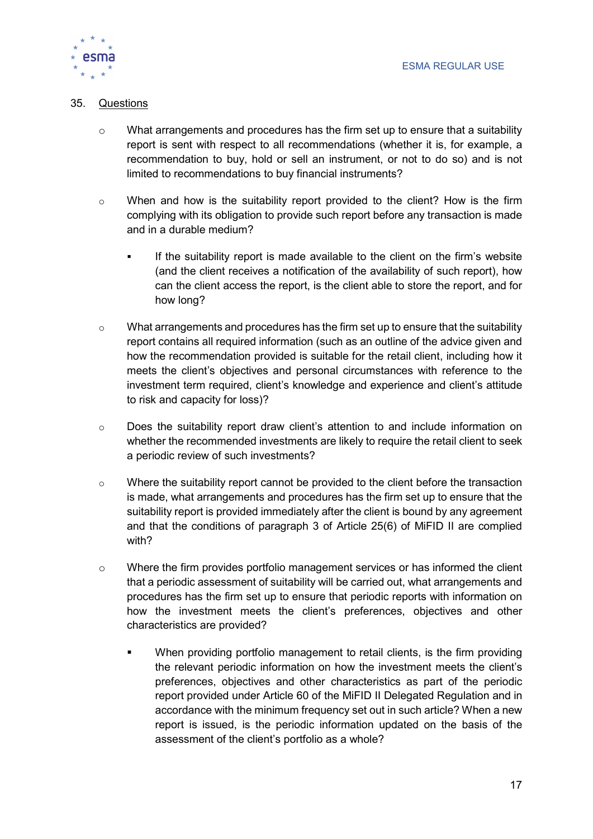

#### 35. Questions

- $\circ$  What arrangements and procedures has the firm set up to ensure that a suitability report is sent with respect to all recommendations (whether it is, for example, a recommendation to buy, hold or sell an instrument, or not to do so) and is not limited to recommendations to buy financial instruments?
- $\circ$  When and how is the suitability report provided to the client? How is the firm complying with its obligation to provide such report before any transaction is made and in a durable medium?
	- If the suitability report is made available to the client on the firm's website (and the client receives a notification of the availability of such report), how can the client access the report, is the client able to store the report, and for how long?
- $\circ$  What arrangements and procedures has the firm set up to ensure that the suitability report contains all required information (such as an outline of the advice given and how the recommendation provided is suitable for the retail client, including how it meets the client's objectives and personal circumstances with reference to the investment term required, client's knowledge and experience and client's attitude to risk and capacity for loss)?
- o Does the suitability report draw client's attention to and include information on whether the recommended investments are likely to require the retail client to seek a periodic review of such investments?
- $\circ$  Where the suitability report cannot be provided to the client before the transaction is made, what arrangements and procedures has the firm set up to ensure that the suitability report is provided immediately after the client is bound by any agreement and that the conditions of paragraph 3 of Article 25(6) of MiFID II are complied with?
- $\circ$  Where the firm provides portfolio management services or has informed the client that a periodic assessment of suitability will be carried out, what arrangements and procedures has the firm set up to ensure that periodic reports with information on how the investment meets the client's preferences, objectives and other characteristics are provided?
	- When providing portfolio management to retail clients, is the firm providing the relevant periodic information on how the investment meets the client's preferences, objectives and other characteristics as part of the periodic report provided under Article 60 of the MiFID II Delegated Regulation and in accordance with the minimum frequency set out in such article? When a new report is issued, is the periodic information updated on the basis of the assessment of the client's portfolio as a whole?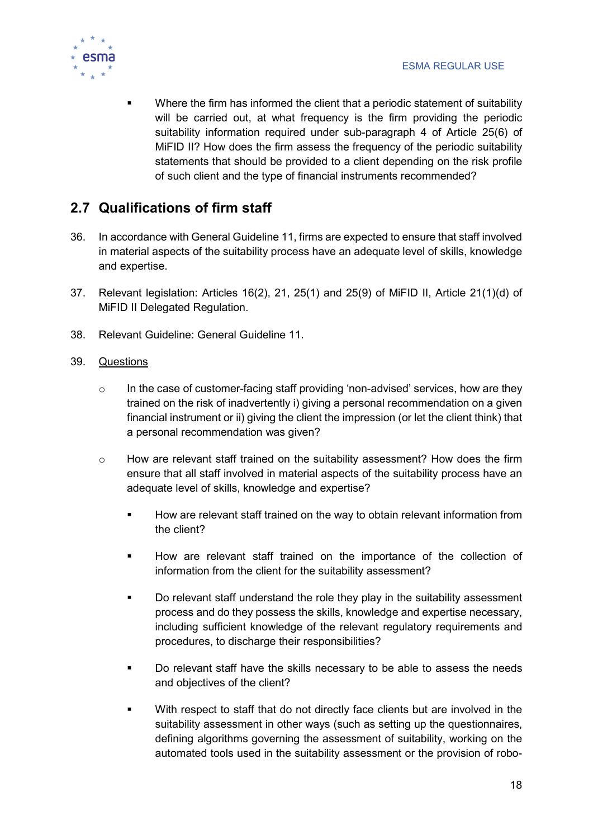

**Where the firm has informed the client that a periodic statement of suitability** will be carried out, at what frequency is the firm providing the periodic suitability information required under sub-paragraph 4 of Article 25(6) of MiFID II? How does the firm assess the frequency of the periodic suitability statements that should be provided to a client depending on the risk profile of such client and the type of financial instruments recommended?

## 2.7 Qualifications of firm staff

- 36. In accordance with General Guideline 11, firms are expected to ensure that staff involved in material aspects of the suitability process have an adequate level of skills, knowledge and expertise.
- 37. Relevant legislation: Articles 16(2), 21, 25(1) and 25(9) of MiFID II, Article 21(1)(d) of MiFID II Delegated Regulation.
- 38. Relevant Guideline: General Guideline 11.
- 39. Questions
	- $\circ$  In the case of customer-facing staff providing 'non-advised' services, how are they trained on the risk of inadvertently i) giving a personal recommendation on a given financial instrument or ii) giving the client the impression (or let the client think) that a personal recommendation was given?
	- $\circ$  How are relevant staff trained on the suitability assessment? How does the firm ensure that all staff involved in material aspects of the suitability process have an adequate level of skills, knowledge and expertise?
		- How are relevant staff trained on the way to obtain relevant information from the client?
		- **How are relevant staff trained on the importance of the collection of** information from the client for the suitability assessment?
		- Do relevant staff understand the role they play in the suitability assessment process and do they possess the skills, knowledge and expertise necessary, including sufficient knowledge of the relevant regulatory requirements and procedures, to discharge their responsibilities?
		- Do relevant staff have the skills necessary to be able to assess the needs and objectives of the client?
		- With respect to staff that do not directly face clients but are involved in the suitability assessment in other ways (such as setting up the questionnaires, defining algorithms governing the assessment of suitability, working on the automated tools used in the suitability assessment or the provision of robo-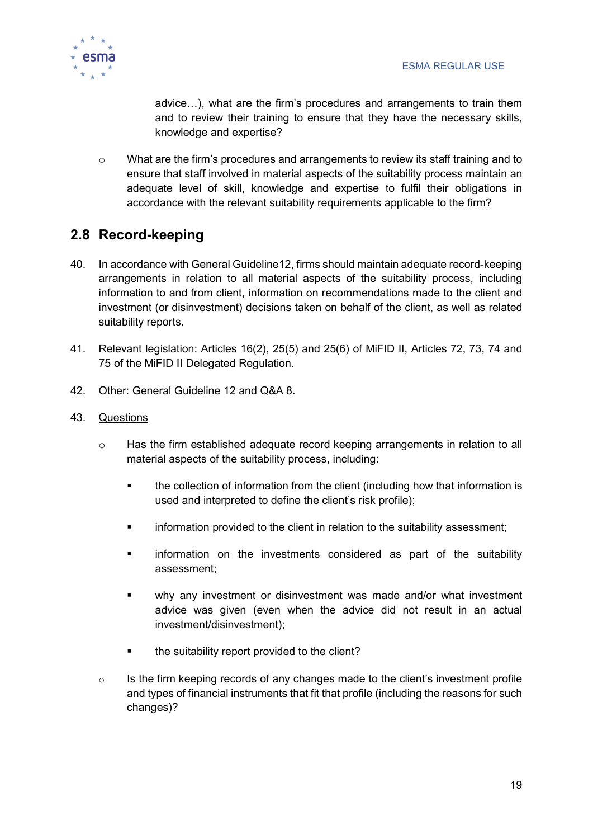

advice…), what are the firm's procedures and arrangements to train them and to review their training to ensure that they have the necessary skills, knowledge and expertise?

o What are the firm's procedures and arrangements to review its staff training and to ensure that staff involved in material aspects of the suitability process maintain an adequate level of skill, knowledge and expertise to fulfil their obligations in accordance with the relevant suitability requirements applicable to the firm?

## 2.8 Record-keeping

- 40. In accordance with General Guideline12, firms should maintain adequate record-keeping arrangements in relation to all material aspects of the suitability process, including information to and from client, information on recommendations made to the client and investment (or disinvestment) decisions taken on behalf of the client, as well as related suitability reports.
- 41. Relevant legislation: Articles 16(2), 25(5) and 25(6) of MiFID II, Articles 72, 73, 74 and 75 of the MiFID II Delegated Regulation.
- 42. Other: General Guideline 12 and Q&A 8.
- 43. Questions
	- o Has the firm established adequate record keeping arrangements in relation to all material aspects of the suitability process, including:
		- the collection of information from the client (including how that information is used and interpreted to define the client's risk profile);
		- **EXED** information provided to the client in relation to the suitability assessment;
		- information on the investments considered as part of the suitability assessment;
		- why any investment or disinvestment was made and/or what investment advice was given (even when the advice did not result in an actual investment/disinvestment);
		- **the suitability report provided to the client?**
	- $\circ$  Is the firm keeping records of any changes made to the client's investment profile and types of financial instruments that fit that profile (including the reasons for such changes)?